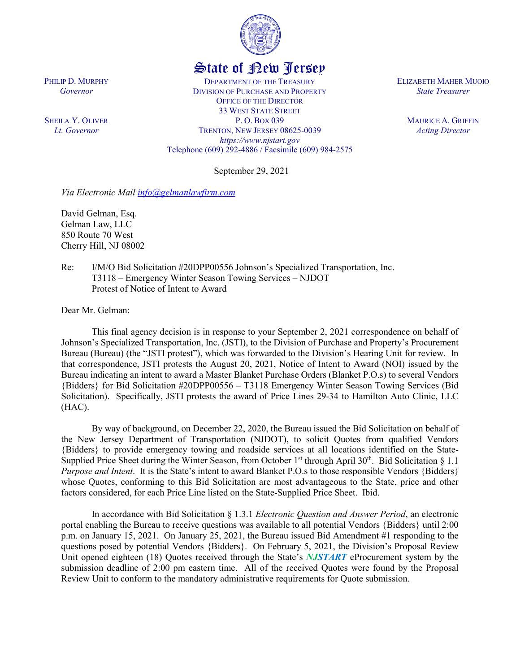

## State of New Jersey

DEPARTMENT OF THE TREASURY DIVISION OF PURCHASE AND PROPERTY OFFICE OF THE DIRECTOR 33 WEST STATE STREET P. O. BOX 039 TRENTON, NEW JERSEY 08625-0039 *https://www.njstart.gov* Telephone (609) 292-4886 / Facsimile (609) 984-2575

September 29, 2021

*Via Electronic Mail [info@gelmanlawfirm.com](mailto:info@gelmanlawfirm.com)*

David Gelman, Esq. Gelman Law, LLC 850 Route 70 West Cherry Hill, NJ 08002

Re: I/M/O Bid Solicitation #20DPP00556 Johnson's Specialized Transportation, Inc. T3118 – Emergency Winter Season Towing Services – NJDOT Protest of Notice of Intent to Award

Dear Mr. Gelman:

This final agency decision is in response to your September 2, 2021 correspondence on behalf of Johnson's Specialized Transportation, Inc. (JSTI), to the Division of Purchase and Property's Procurement Bureau (Bureau) (the "JSTI protest"), which was forwarded to the Division's Hearing Unit for review. In that correspondence, JSTI protests the August 20, 2021, Notice of Intent to Award (NOI) issued by the Bureau indicating an intent to award a Master Blanket Purchase Orders (Blanket P.O.s) to several Vendors {Bidders} for Bid Solicitation #20DPP00556 – T3118 Emergency Winter Season Towing Services (Bid Solicitation). Specifically, JSTI protests the award of Price Lines 29-34 to Hamilton Auto Clinic, LLC (HAC).

By way of background, on December 22, 2020, the Bureau issued the Bid Solicitation on behalf of the New Jersey Department of Transportation (NJDOT), to solicit Quotes from qualified Vendors {Bidders} to provide emergency towing and roadside services at all locations identified on the State-Supplied Price Sheet during the Winter Season, from October 1<sup>st</sup> through April  $30<sup>th</sup>$ . Bid Solicitation § 1.1 *Purpose and Intent*. It is the State's intent to award Blanket P.O.s to those responsible Vendors {Bidders} whose Quotes, conforming to this Bid Solicitation are most advantageous to the State, price and other factors considered, for each Price Line listed on the State-Supplied Price Sheet. Ibid.

In accordance with Bid Solicitation § 1.3.1 *Electronic Question and Answer Period*, an electronic portal enabling the Bureau to receive questions was available to all potential Vendors {Bidders} until 2:00 p.m. on January 15, 2021. On January 25, 2021, the Bureau issued Bid Amendment #1 responding to the questions posed by potential Vendors {Bidders}. On February 5, 2021, the Division's Proposal Review Unit opened eighteen (18) Quotes received through the State's *NJSTART* eProcurement system by the submission deadline of 2:00 pm eastern time. All of the received Quotes were found by the Proposal Review Unit to conform to the mandatory administrative requirements for Quote submission.

ELIZABETH MAHER MUOIO *State Treasurer*

> MAURICE A. GRIFFIN *Acting Director*

PHILIP D. MURPHY *Governor*

SHEILA Y. OLIVER *Lt. Governor*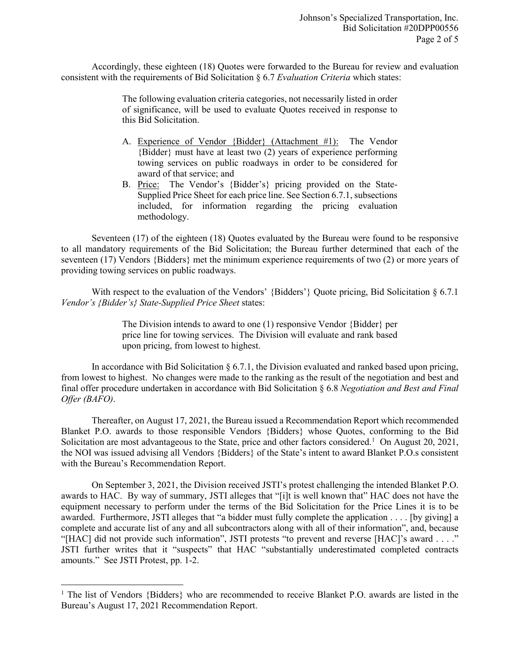Accordingly, these eighteen (18) Quotes were forwarded to the Bureau for review and evaluation consistent with the requirements of Bid Solicitation § 6.7 *Evaluation Criteria* which states:

> The following evaluation criteria categories, not necessarily listed in order of significance, will be used to evaluate Quotes received in response to this Bid Solicitation.

- A. Experience of Vendor {Bidder} (Attachment #1): The Vendor {Bidder} must have at least two (2) years of experience performing towing services on public roadways in order to be considered for award of that service; and
- B. Price: The Vendor's {Bidder's} pricing provided on the State-Supplied Price Sheet for each price line. See Section 6.7.1, subsections included, for information regarding the pricing evaluation methodology.

Seventeen (17) of the eighteen (18) Quotes evaluated by the Bureau were found to be responsive to all mandatory requirements of the Bid Solicitation; the Bureau further determined that each of the seventeen (17) Vendors {Bidders} met the minimum experience requirements of two (2) or more years of providing towing services on public roadways.

With respect to the evaluation of the Vendors' {Bidders' } Quote pricing, Bid Solicitation  $\S 6.7.1$ *Vendor's {Bidder's} State-Supplied Price Sheet* states:

> The Division intends to award to one (1) responsive Vendor {Bidder} per price line for towing services. The Division will evaluate and rank based upon pricing, from lowest to highest.

In accordance with Bid Solicitation  $\S 6.7.1$ , the Division evaluated and ranked based upon pricing, from lowest to highest. No changes were made to the ranking as the result of the negotiation and best and final offer procedure undertaken in accordance with Bid Solicitation § 6.8 *Negotiation and Best and Final Offer (BAFO)*.

Thereafter, on August 17, 2021, the Bureau issued a Recommendation Report which recommended Blanket P.O. awards to those responsible Vendors {Bidders} whose Quotes, conforming to the Bid Solicitation are most advantageous to the State, price and other factors considered.<sup>[1](#page-1-0)</sup> On August 20, 2021, the NOI was issued advising all Vendors {Bidders} of the State's intent to award Blanket P.O.s consistent with the Bureau's Recommendation Report.

On September 3, 2021, the Division received JSTI's protest challenging the intended Blanket P.O. awards to HAC. By way of summary, JSTI alleges that "[i]t is well known that" HAC does not have the equipment necessary to perform under the terms of the Bid Solicitation for the Price Lines it is to be awarded. Furthermore, JSTI alleges that "a bidder must fully complete the application . . . . [by giving] a complete and accurate list of any and all subcontractors along with all of their information", and, because "[HAC] did not provide such information", JSTI protests "to prevent and reverse [HAC]'s award . . . ." JSTI further writes that it "suspects" that HAC "substantially underestimated completed contracts amounts." See JSTI Protest, pp. 1-2.

l

<span id="page-1-0"></span><sup>&</sup>lt;sup>1</sup> The list of Vendors {Bidders} who are recommended to receive Blanket P.O. awards are listed in the Bureau's August 17, 2021 Recommendation Report.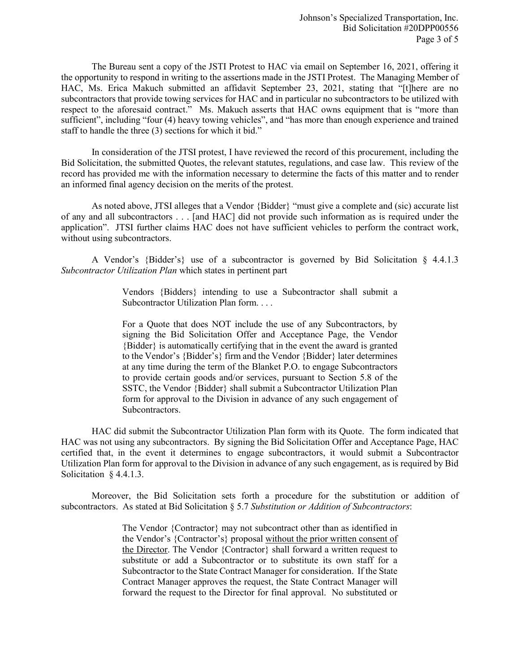The Bureau sent a copy of the JSTI Protest to HAC via email on September 16, 2021, offering it the opportunity to respond in writing to the assertions made in the JSTI Protest. The Managing Member of HAC, Ms. Erica Makuch submitted an affidavit September 23, 2021, stating that "[t]here are no subcontractors that provide towing services for HAC and in particular no subcontractors to be utilized with respect to the aforesaid contract." Ms. Makuch asserts that HAC owns equipment that is "more than sufficient", including "four (4) heavy towing vehicles", and "has more than enough experience and trained staff to handle the three (3) sections for which it bid."

In consideration of the JTSI protest, I have reviewed the record of this procurement, including the Bid Solicitation, the submitted Quotes, the relevant statutes, regulations, and case law. This review of the record has provided me with the information necessary to determine the facts of this matter and to render an informed final agency decision on the merits of the protest.

As noted above, JTSI alleges that a Vendor {Bidder} "must give a complete and (sic) accurate list of any and all subcontractors . . . [and HAC] did not provide such information as is required under the application". JTSI further claims HAC does not have sufficient vehicles to perform the contract work, without using subcontractors.

A Vendor's {Bidder's} use of a subcontractor is governed by Bid Solicitation § 4.4.1.3 *Subcontractor Utilization Plan* which states in pertinent part

> Vendors {Bidders} intending to use a Subcontractor shall submit a Subcontractor Utilization Plan form. . . .

> For a Quote that does NOT include the use of any Subcontractors, by signing the Bid Solicitation Offer and Acceptance Page, the Vendor {Bidder} is automatically certifying that in the event the award is granted to the Vendor's {Bidder's} firm and the Vendor {Bidder} later determines at any time during the term of the Blanket P.O. to engage Subcontractors to provide certain goods and/or services, pursuant to Section 5.8 of the SSTC, the Vendor {Bidder} shall submit a Subcontractor Utilization Plan form for approval to the Division in advance of any such engagement of Subcontractors.

HAC did submit the Subcontractor Utilization Plan form with its Quote. The form indicated that HAC was not using any subcontractors. By signing the Bid Solicitation Offer and Acceptance Page, HAC certified that, in the event it determines to engage subcontractors, it would submit a Subcontractor Utilization Plan form for approval to the Division in advance of any such engagement, as is required by Bid Solicitation § 4.4.1.3.

Moreover, the Bid Solicitation sets forth a procedure for the substitution or addition of subcontractors. As stated at Bid Solicitation § 5.7 *Substitution or Addition of Subcontractors*:

> The Vendor {Contractor} may not subcontract other than as identified in the Vendor's {Contractor's} proposal without the prior written consent of the Director. The Vendor {Contractor} shall forward a written request to substitute or add a Subcontractor or to substitute its own staff for a Subcontractor to the State Contract Manager for consideration. If the State Contract Manager approves the request, the State Contract Manager will forward the request to the Director for final approval. No substituted or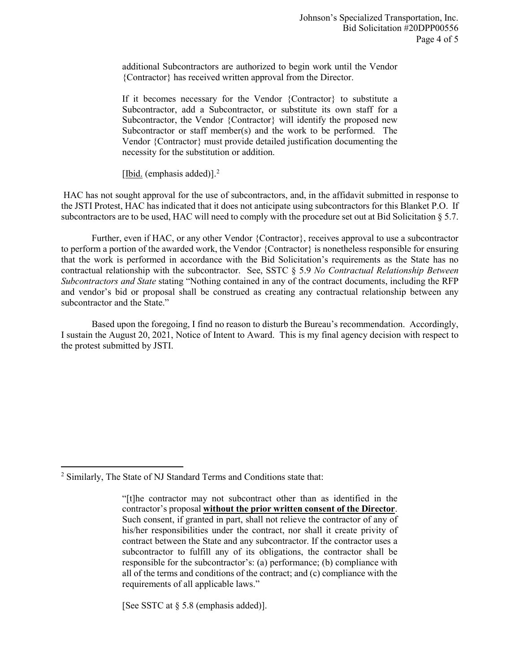additional Subcontractors are authorized to begin work until the Vendor {Contractor} has received written approval from the Director.

If it becomes necessary for the Vendor {Contractor} to substitute a Subcontractor, add a Subcontractor, or substitute its own staff for a Subcontractor, the Vendor {Contractor} will identify the proposed new Subcontractor or staff member(s) and the work to be performed. The Vendor {Contractor} must provide detailed justification documenting the necessity for the substitution or addition.

[Ibid. (emphasis added)].<sup>[2](#page-3-0)</sup>

HAC has not sought approval for the use of subcontractors, and, in the affidavit submitted in response to the JSTI Protest, HAC has indicated that it does not anticipate using subcontractors for this Blanket P.O. If subcontractors are to be used, HAC will need to comply with the procedure set out at Bid Solicitation § 5.7.

Further, even if HAC, or any other Vendor {Contractor}, receives approval to use a subcontractor to perform a portion of the awarded work, the Vendor {Contractor} is nonetheless responsible for ensuring that the work is performed in accordance with the Bid Solicitation's requirements as the State has no contractual relationship with the subcontractor. See, SSTC § 5.9 *No Contractual Relationship Between Subcontractors and State* stating "Nothing contained in any of the contract documents, including the RFP and vendor's bid or proposal shall be construed as creating any contractual relationship between any subcontractor and the State."

Based upon the foregoing, I find no reason to disturb the Bureau's recommendation. Accordingly, I sustain the August 20, 2021, Notice of Intent to Award. This is my final agency decision with respect to the protest submitted by JSTI.

 $\overline{\phantom{a}}$ 

[See SSTC at § 5.8 (emphasis added)].

<span id="page-3-0"></span><sup>2</sup> Similarly, The State of NJ Standard Terms and Conditions state that:

<sup>&</sup>quot;[t]he contractor may not subcontract other than as identified in the contractor's proposal **without the prior written consent of the Director**. Such consent, if granted in part, shall not relieve the contractor of any of his/her responsibilities under the contract, nor shall it create privity of contract between the State and any subcontractor. If the contractor uses a subcontractor to fulfill any of its obligations, the contractor shall be responsible for the subcontractor's: (a) performance; (b) compliance with all of the terms and conditions of the contract; and (c) compliance with the requirements of all applicable laws."